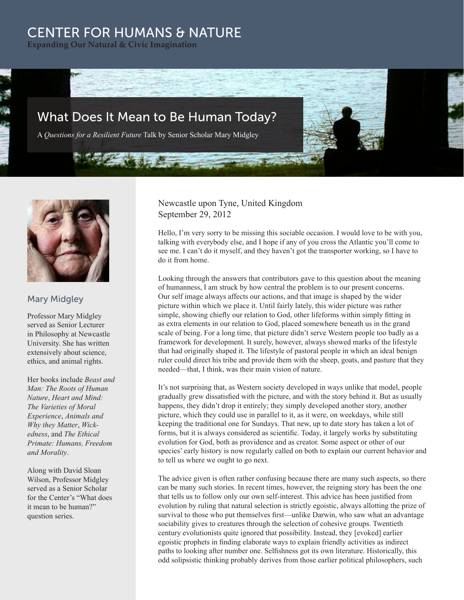## CENTER FOR HUMANS & NATURE

**Expanding Our Natural & Civic Imagination**



A *Questions for a Resilient Future* Talk by Senior Scholar Mary Midgley



## Mary Midgley

Professor Mary Midgley served as Senior Lecturer in Philosophy at Newcastle University. She has written extensively about science, ethics, and animal rights.

Her books include *Beast and Man: The Roots of Human Nature*, *Heart and Mind: The Varieties of Moral Experience*, *Animals and Why they Matter*, *Wickedness*, and *The Ethical Primate: Humans, Freedom and Morality*.

Along with David Sloan Wilson, Professor Midgley served as a Senior Scholar for the Center's "What does it mean to be human?" question series.

Newcastle upon Tyne, United Kingdom September 29, 2012

**Comment of Comments** 

Hello, I'm very sorry to be missing this sociable occasion. I would love to be with you, talking with everybody else, and I hope if any of you cross the Atlantic you'll come to see me. I can't do it myself, and they haven't got the transporter working, so I have to do it from home.

Looking through the answers that contributors gave to this question about the meaning of humanness, I am struck by how central the problem is to our present concerns. Our self image always affects our actions, and that image is shaped by the wider picture within which we place it. Until fairly lately, this wider picture was rather simple, showing chiefly our relation to God, other lifeforms within simply fitting in as extra elements in our relation to God, placed somewhere beneath us in the grand scale of being. For a long time, that picture didn't serve Western people too badly as a framework for development. It surely, however, always showed marks of the lifestyle that had originally shaped it. The lifestyle of pastoral people in which an ideal benign ruler could direct his tribe and provide them with the sheep, goats, and pasture that they needed—that, I think, was their main vision of nature.

It's not surprising that, as Western society developed in ways unlike that model, people gradually grew dissatisfied with the picture, and with the story behind it. But as usually happens, they didn't drop it entirely; they simply developed another story, another picture, which they could use in parallel to it, as it were, on weekdays, while still keeping the traditional one for Sundays. That new, up to date story has taken a lot of forms, but it is always considered as scientific. Today, it largely works by substituting evolution for God, both as providence and as creator. Some aspect or other of our species' early history is now regularly called on both to explain our current behavior and to tell us where we ought to go next.

The advice given is often rather confusing because there are many such aspects, so there can be many such stories. In recent times, however, the reigning story has been the one that tells us to follow only our own self-interest. This advice has been justified from evolution by ruling that natural selection is strictly egoistic, always allotting the prize of survival to those who put themselves first—unlike Darwin, who saw what an advantage sociability gives to creatures through the selection of cohesive groups. Twentieth century evolutionists quite ignored that possibility. Instead, they [evoked] earlier egoistic prophets in finding elaborate ways to explain friendly activities as indirect paths to looking after number one. Selfishness got its own literature. Historically, this odd solipsistic thinking probably derives from those earlier political philosophers, such